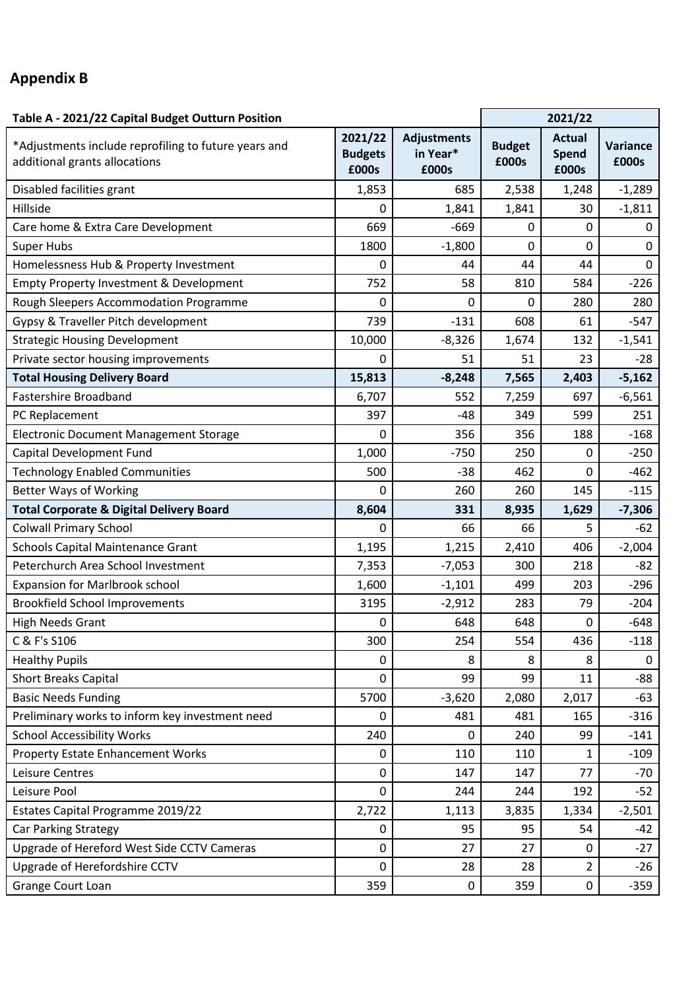## **Appendix B**

| Table A - 2021/22 Capital Budget Outturn Position                                     | 2021/22                            |                                         |                        |                                 |                   |
|---------------------------------------------------------------------------------------|------------------------------------|-----------------------------------------|------------------------|---------------------------------|-------------------|
| *Adjustments include reprofiling to future years and<br>additional grants allocations | 2021/22<br><b>Budgets</b><br>£000s | <b>Adjustments</b><br>in Year*<br>£000s | <b>Budget</b><br>£000s | <b>Actual</b><br>Spend<br>£000s | Variance<br>£000s |
| Disabled facilities grant                                                             | 1,853                              | 685                                     | 2,538                  | 1,248                           | $-1,289$          |
| Hillside                                                                              | 0                                  | 1,841                                   | 1,841                  | 30                              | $-1,811$          |
| Care home & Extra Care Development                                                    | 669                                | $-669$                                  | 0                      | 0                               | 0                 |
| <b>Super Hubs</b>                                                                     | 1800                               | $-1,800$                                | $\mathbf 0$            | 0                               | $\pmb{0}$         |
| Homelessness Hub & Property Investment                                                | 0                                  | 44                                      | 44                     | 44                              | 0                 |
| Empty Property Investment & Development                                               | 752                                | 58                                      | 810                    | 584                             | $-226$            |
| Rough Sleepers Accommodation Programme                                                | 0                                  | 0                                       | 0                      | 280                             | 280               |
| Gypsy & Traveller Pitch development                                                   | 739                                | $-131$                                  | 608                    | 61                              | $-547$            |
| <b>Strategic Housing Development</b>                                                  | 10,000                             | $-8,326$                                | 1,674                  | 132                             | $-1,541$          |
| Private sector housing improvements                                                   | 0                                  | 51                                      | 51                     | 23                              | $-28$             |
| <b>Total Housing Delivery Board</b>                                                   | 15,813                             | $-8,248$                                | 7,565                  | 2,403                           | $-5,162$          |
| <b>Fastershire Broadband</b>                                                          | 6,707                              | 552                                     | 7,259                  | 697                             | $-6,561$          |
| PC Replacement                                                                        | 397                                | $-48$                                   | 349                    | 599                             | 251               |
| <b>Electronic Document Management Storage</b>                                         | 0                                  | 356                                     | 356                    | 188                             | $-168$            |
| Capital Development Fund                                                              | 1,000                              | $-750$                                  | 250                    | 0                               | $-250$            |
| <b>Technology Enabled Communities</b>                                                 | 500                                | $-38$                                   | 462                    | 0                               | $-462$            |
| <b>Better Ways of Working</b>                                                         | 0                                  | 260                                     | 260                    | 145                             | $-115$            |
| <b>Total Corporate &amp; Digital Delivery Board</b>                                   | 8,604                              | 331                                     | 8,935                  | 1,629                           | $-7,306$          |
| <b>Colwall Primary School</b>                                                         | 0                                  | 66                                      | 66                     | 5                               | $-62$             |
| <b>Schools Capital Maintenance Grant</b>                                              | 1,195                              | 1,215                                   | 2,410                  | 406                             | $-2,004$          |
| Peterchurch Area School Investment                                                    | 7,353                              | $-7,053$                                | 300                    | 218                             | $-82$             |
| <b>Expansion for Marlbrook school</b>                                                 | 1,600                              | $-1,101$                                | 499                    | 203                             | $-296$            |
| <b>Brookfield School Improvements</b>                                                 | 3195                               | $-2,912$                                | 283                    | 79                              | $-204$            |
| <b>High Needs Grant</b>                                                               | 0                                  | 648                                     | 648                    | 0                               | $-648$            |
| C & F's S106                                                                          | 300                                | 254                                     | 554                    | 436                             | $-118$            |
| <b>Healthy Pupils</b>                                                                 | 0                                  | 8                                       | 8                      | 8                               | 0                 |
| <b>Short Breaks Capital</b>                                                           | 0                                  | 99                                      | 99                     | 11                              | $-88$             |
| <b>Basic Needs Funding</b>                                                            | 5700                               | $-3,620$                                | 2,080                  | 2,017                           | $-63$             |
| Preliminary works to inform key investment need                                       | 0                                  | 481                                     | 481                    | 165                             | $-316$            |
| <b>School Accessibility Works</b>                                                     | 240                                | 0                                       | 240                    | 99                              | $-141$            |
| <b>Property Estate Enhancement Works</b>                                              | 0                                  | 110                                     | 110                    | 1                               | $-109$            |
| Leisure Centres                                                                       | 0                                  | 147                                     | 147                    | 77                              | $-70$             |
| Leisure Pool                                                                          | 0                                  | 244                                     | 244                    | 192                             | $-52$             |
| Estates Capital Programme 2019/22                                                     | 2,722                              | 1,113                                   | 3,835                  | 1,334                           | $-2,501$          |
| Car Parking Strategy                                                                  | 0                                  | 95                                      | 95                     | 54                              | $-42$             |
| Upgrade of Hereford West Side CCTV Cameras                                            | 0                                  | 27                                      | 27                     | 0                               | $-27$             |
| Upgrade of Herefordshire CCTV                                                         | $\overline{0}$                     | 28                                      | 28                     | $\overline{2}$                  | $-26$             |
| Grange Court Loan                                                                     | 359                                | $\mathbf 0$                             | 359                    | $\pmb{0}$                       | $-359$            |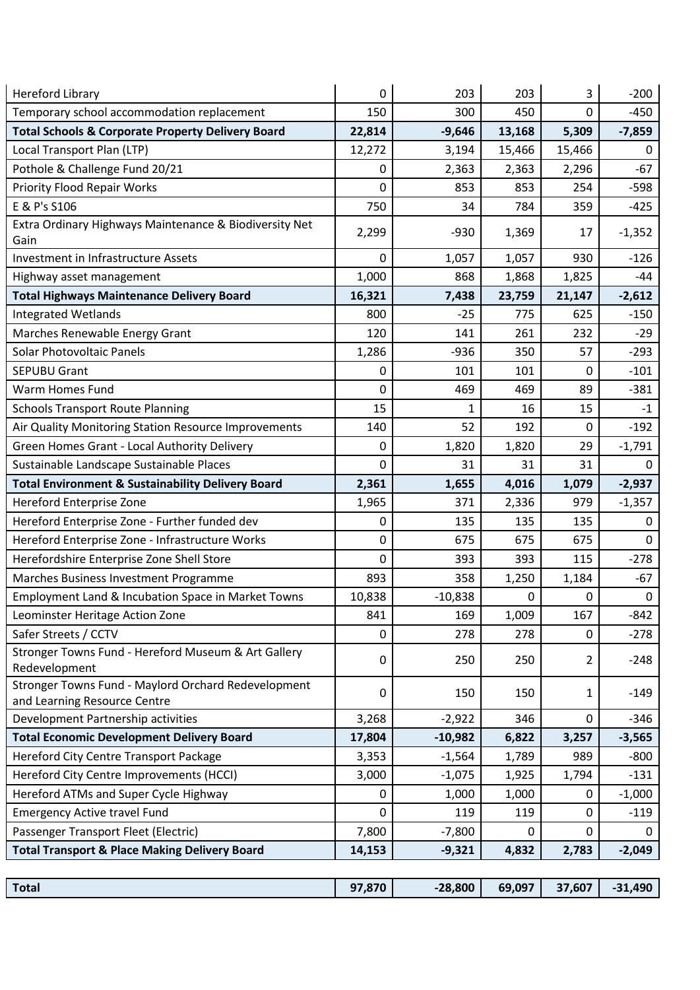| <b>Hereford Library</b>                                                             | 0      | 203       | 203    | 3           | $-200$    |
|-------------------------------------------------------------------------------------|--------|-----------|--------|-------------|-----------|
| Temporary school accommodation replacement                                          | 150    | 300       | 450    | 0           | $-450$    |
| <b>Total Schools &amp; Corporate Property Delivery Board</b>                        | 22,814 | $-9,646$  | 13,168 | 5,309       | $-7,859$  |
| Local Transport Plan (LTP)                                                          | 12,272 | 3,194     | 15,466 | 15,466      | 0         |
| Pothole & Challenge Fund 20/21                                                      | 0      | 2,363     | 2,363  | 2,296       | $-67$     |
| <b>Priority Flood Repair Works</b>                                                  | 0      | 853       | 853    | 254         | $-598$    |
| E & P's S106                                                                        | 750    | 34        | 784    | 359         | $-425$    |
| Extra Ordinary Highways Maintenance & Biodiversity Net<br>Gain                      | 2,299  | $-930$    | 1,369  | 17          | $-1,352$  |
| <b>Investment in Infrastructure Assets</b>                                          | 0      | 1,057     | 1,057  | 930         | $-126$    |
| Highway asset management                                                            | 1,000  | 868       | 1,868  | 1,825       | -44       |
| <b>Total Highways Maintenance Delivery Board</b>                                    | 16,321 | 7,438     | 23,759 | 21,147      | $-2,612$  |
| <b>Integrated Wetlands</b>                                                          | 800    | $-25$     | 775    | 625         | $-150$    |
| Marches Renewable Energy Grant                                                      | 120    | 141       | 261    | 232         | $-29$     |
| <b>Solar Photovoltaic Panels</b>                                                    | 1,286  | $-936$    | 350    | 57          | $-293$    |
| <b>SEPUBU Grant</b>                                                                 | 0      | 101       | 101    | 0           | $-101$    |
| <b>Warm Homes Fund</b>                                                              | 0      | 469       | 469    | 89          | $-381$    |
| <b>Schools Transport Route Planning</b>                                             | 15     | 1         | 16     | 15          | $-1$      |
| Air Quality Monitoring Station Resource Improvements                                | 140    | 52        | 192    | 0           | $-192$    |
| Green Homes Grant - Local Authority Delivery                                        | 0      | 1,820     | 1,820  | 29          | $-1,791$  |
| Sustainable Landscape Sustainable Places                                            | 0      | 31        | 31     | 31          | 0         |
| <b>Total Environment &amp; Sustainability Delivery Board</b>                        | 2,361  | 1,655     | 4,016  | 1,079       | $-2,937$  |
| Hereford Enterprise Zone                                                            | 1,965  | 371       | 2,336  | 979         | $-1,357$  |
| Hereford Enterprise Zone - Further funded dev                                       | 0      | 135       | 135    | 135         | 0         |
| Hereford Enterprise Zone - Infrastructure Works                                     | 0      | 675       | 675    | 675         | $\Omega$  |
| Herefordshire Enterprise Zone Shell Store                                           | 0      | 393       | 393    | 115         | $-278$    |
| Marches Business Investment Programme                                               | 893    | 358       | 1,250  | 1,184       | $-67$     |
| Employment Land & Incubation Space in Market Towns                                  | 10,838 | $-10,838$ | 0      | 0           | $\pmb{0}$ |
| Leominster Heritage Action Zone                                                     | 841    | 169       | 1,009  | 167         | $-842$    |
| Safer Streets / CCTV                                                                | 0      | 278       | 278    | 0           | $-278$    |
| Stronger Towns Fund - Hereford Museum & Art Gallery<br>Redevelopment                | 0      | 250       | 250    | 2           | $-248$    |
| Stronger Towns Fund - Maylord Orchard Redevelopment<br>and Learning Resource Centre | 0      | 150       | 150    | 1           | $-149$    |
| Development Partnership activities                                                  | 3,268  | $-2,922$  | 346    | $\mathbf 0$ | $-346$    |
| <b>Total Economic Development Delivery Board</b>                                    | 17,804 | $-10,982$ | 6,822  | 3,257       | $-3,565$  |
| Hereford City Centre Transport Package                                              | 3,353  | $-1,564$  | 1,789  | 989         | $-800$    |
| Hereford City Centre Improvements (HCCI)                                            | 3,000  | $-1,075$  | 1,925  | 1,794       | $-131$    |
| Hereford ATMs and Super Cycle Highway                                               | 0      | 1,000     | 1,000  | 0           | $-1,000$  |
| <b>Emergency Active travel Fund</b>                                                 | 0      | 119       | 119    | $\mathbf 0$ | $-119$    |
| Passenger Transport Fleet (Electric)                                                | 7,800  | $-7,800$  | 0      | 0           | 0         |
| <b>Total Transport &amp; Place Making Delivery Board</b>                            | 14,153 | $-9,321$  | 4,832  | 2,783       | $-2,049$  |
|                                                                                     |        |           |        |             |           |
| <b>Total</b>                                                                        | 97,870 | $-28,800$ | 69,097 | 37,607      | $-31,490$ |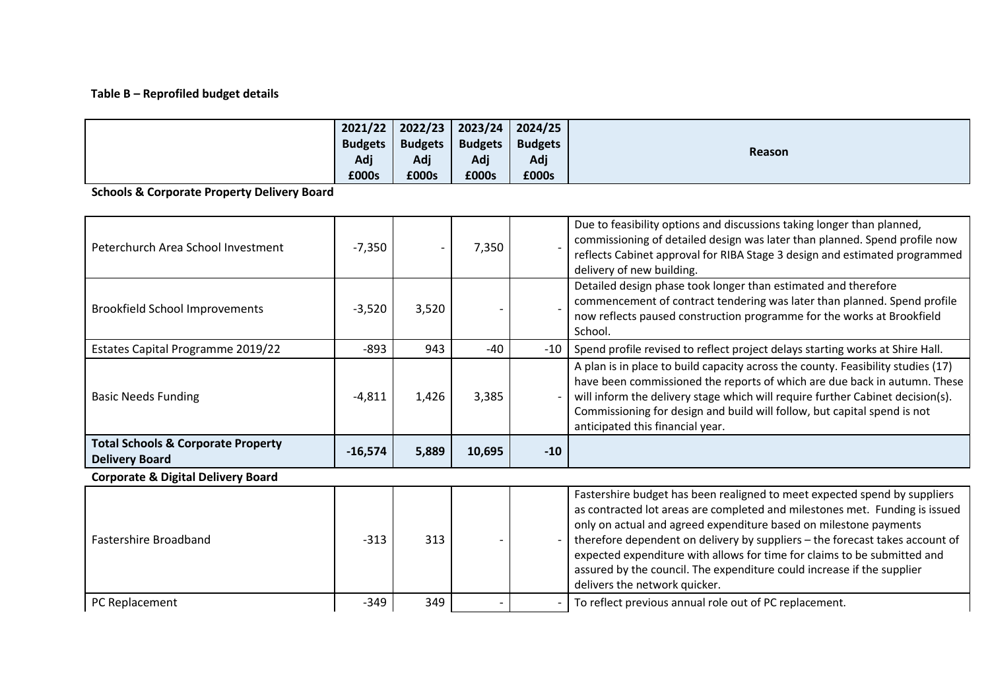## **Table B – Reprofiled budget details**

|                | $2021/22$   2022/23   2023/24 |                | 2024/25        |               |
|----------------|-------------------------------|----------------|----------------|---------------|
| <b>Budgets</b> | <b>Budgets</b>                | <b>Budgets</b> | <b>Budgets</b> |               |
| Adj            | Adj                           | Adj            | Adj            | <b>Reason</b> |
| £000s          | £000s                         | £000s          | £000s          |               |

**Schools & Corporate Property Delivery Board**

| Peterchurch Area School Investment                                     | $-7,350$  |       | 7,350  |       | Due to feasibility options and discussions taking longer than planned,<br>commissioning of detailed design was later than planned. Spend profile now<br>reflects Cabinet approval for RIBA Stage 3 design and estimated programmed<br>delivery of new building.                                                                                                                                                                                                                                      |
|------------------------------------------------------------------------|-----------|-------|--------|-------|------------------------------------------------------------------------------------------------------------------------------------------------------------------------------------------------------------------------------------------------------------------------------------------------------------------------------------------------------------------------------------------------------------------------------------------------------------------------------------------------------|
| <b>Brookfield School Improvements</b>                                  | $-3,520$  | 3,520 |        |       | Detailed design phase took longer than estimated and therefore<br>commencement of contract tendering was later than planned. Spend profile<br>now reflects paused construction programme for the works at Brookfield<br>School.                                                                                                                                                                                                                                                                      |
| Estates Capital Programme 2019/22                                      | $-893$    | 943   | $-40$  | $-10$ | Spend profile revised to reflect project delays starting works at Shire Hall.                                                                                                                                                                                                                                                                                                                                                                                                                        |
| <b>Basic Needs Funding</b>                                             | $-4,811$  | 1,426 | 3,385  |       | A plan is in place to build capacity across the county. Feasibility studies (17)<br>have been commissioned the reports of which are due back in autumn. These<br>will inform the delivery stage which will require further Cabinet decision(s).<br>Commissioning for design and build will follow, but capital spend is not<br>anticipated this financial year.                                                                                                                                      |
| <b>Total Schools &amp; Corporate Property</b><br><b>Delivery Board</b> | $-16,574$ | 5,889 | 10,695 | $-10$ |                                                                                                                                                                                                                                                                                                                                                                                                                                                                                                      |
| <b>Corporate &amp; Digital Delivery Board</b>                          |           |       |        |       |                                                                                                                                                                                                                                                                                                                                                                                                                                                                                                      |
| Fastershire Broadband                                                  | $-313$    | 313   |        |       | Fastershire budget has been realigned to meet expected spend by suppliers<br>as contracted lot areas are completed and milestones met. Funding is issued<br>only on actual and agreed expenditure based on milestone payments<br>therefore dependent on delivery by suppliers - the forecast takes account of<br>expected expenditure with allows for time for claims to be submitted and<br>assured by the council. The expenditure could increase if the supplier<br>delivers the network quicker. |
| PC Replacement                                                         | $-349$    | 349   |        |       | To reflect previous annual role out of PC replacement.                                                                                                                                                                                                                                                                                                                                                                                                                                               |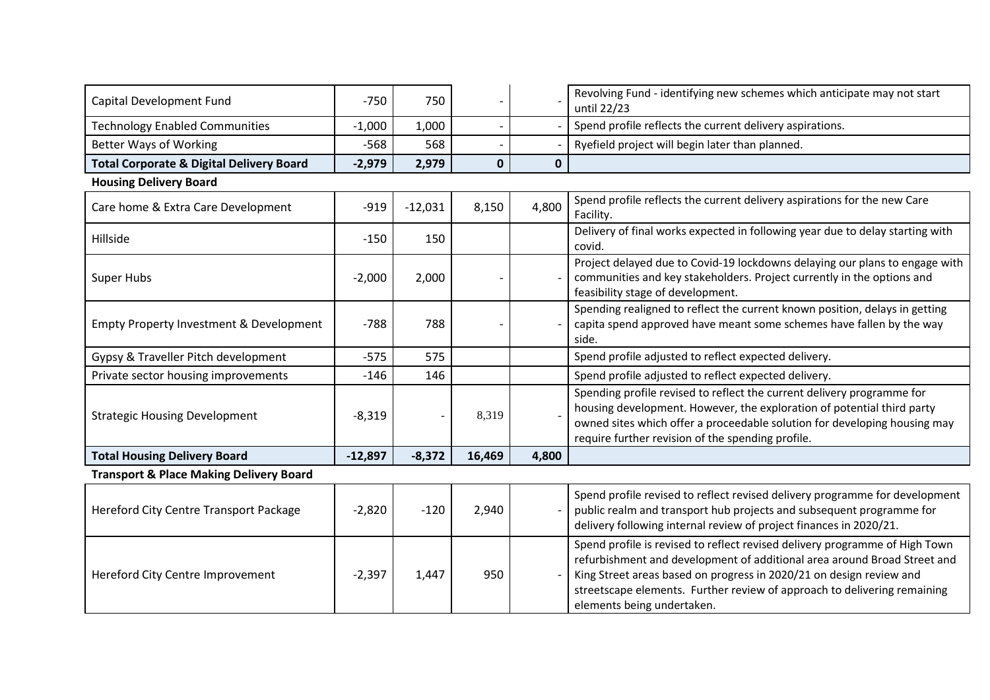| Capital Development Fund                            | $-750$    | 750       |        |              | Revolving Fund - identifying new schemes which anticipate may not start<br>until 22/23                                                                                                                                                                                                                                                   |
|-----------------------------------------------------|-----------|-----------|--------|--------------|------------------------------------------------------------------------------------------------------------------------------------------------------------------------------------------------------------------------------------------------------------------------------------------------------------------------------------------|
| <b>Technology Enabled Communities</b>               | $-1,000$  | 1,000     |        |              | Spend profile reflects the current delivery aspirations.                                                                                                                                                                                                                                                                                 |
| <b>Better Ways of Working</b>                       | $-568$    | 568       |        |              | Ryefield project will begin later than planned.                                                                                                                                                                                                                                                                                          |
| <b>Total Corporate &amp; Digital Delivery Board</b> | $-2,979$  | 2,979     | 0      | $\mathbf{0}$ |                                                                                                                                                                                                                                                                                                                                          |
| <b>Housing Delivery Board</b>                       |           |           |        |              |                                                                                                                                                                                                                                                                                                                                          |
| Care home & Extra Care Development                  | $-919$    | $-12,031$ | 8,150  | 4,800        | Spend profile reflects the current delivery aspirations for the new Care<br>Facility.                                                                                                                                                                                                                                                    |
| Hillside                                            | $-150$    | 150       |        |              | Delivery of final works expected in following year due to delay starting with<br>covid.                                                                                                                                                                                                                                                  |
| <b>Super Hubs</b>                                   | $-2,000$  | 2,000     |        |              | Project delayed due to Covid-19 lockdowns delaying our plans to engage with<br>communities and key stakeholders. Project currently in the options and<br>feasibility stage of development.                                                                                                                                               |
| <b>Empty Property Investment &amp; Development</b>  | $-788$    | 788       |        |              | Spending realigned to reflect the current known position, delays in getting<br>capita spend approved have meant some schemes have fallen by the way<br>side.                                                                                                                                                                             |
| Gypsy & Traveller Pitch development                 | $-575$    | 575       |        |              | Spend profile adjusted to reflect expected delivery.                                                                                                                                                                                                                                                                                     |
| Private sector housing improvements                 | $-146$    | 146       |        |              | Spend profile adjusted to reflect expected delivery.                                                                                                                                                                                                                                                                                     |
| <b>Strategic Housing Development</b>                | $-8,319$  |           | 8,319  |              | Spending profile revised to reflect the current delivery programme for<br>housing development. However, the exploration of potential third party<br>owned sites which offer a proceedable solution for developing housing may<br>require further revision of the spending profile.                                                       |
| <b>Total Housing Delivery Board</b>                 | $-12,897$ | $-8,372$  | 16,469 | 4,800        |                                                                                                                                                                                                                                                                                                                                          |
| <b>Transport &amp; Place Making Delivery Board</b>  |           |           |        |              |                                                                                                                                                                                                                                                                                                                                          |
| Hereford City Centre Transport Package              | $-2,820$  | $-120$    | 2,940  |              | Spend profile revised to reflect revised delivery programme for development<br>public realm and transport hub projects and subsequent programme for<br>delivery following internal review of project finances in 2020/21.                                                                                                                |
| Hereford City Centre Improvement                    | $-2,397$  | 1,447     | 950    |              | Spend profile is revised to reflect revised delivery programme of High Town<br>refurbishment and development of additional area around Broad Street and<br>King Street areas based on progress in 2020/21 on design review and<br>streetscape elements. Further review of approach to delivering remaining<br>elements being undertaken. |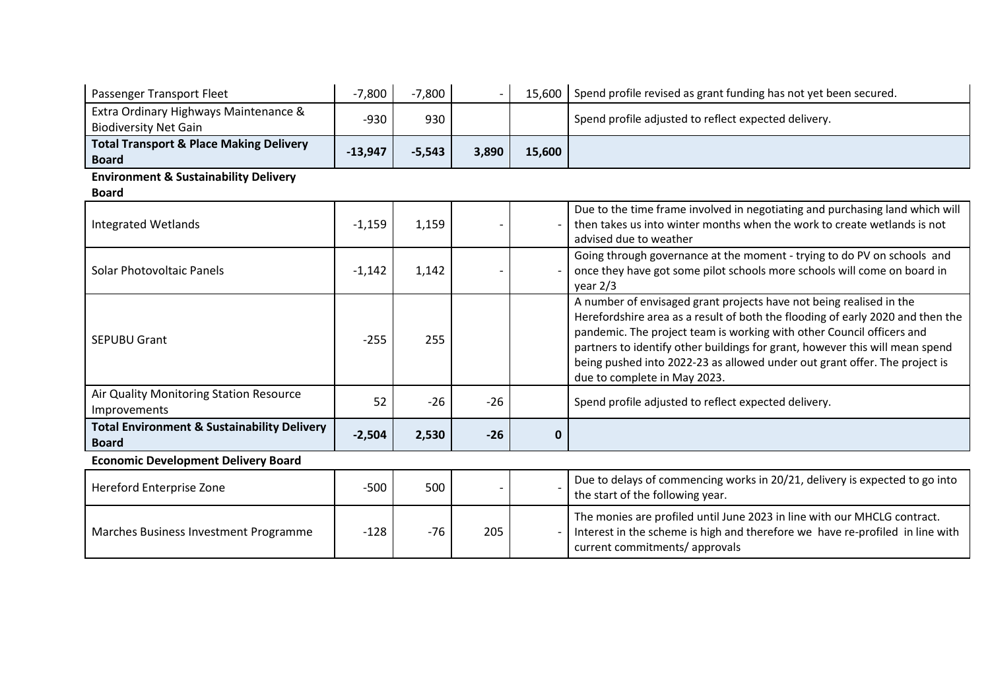| Passenger Transport Fleet                                              | $-7,800$  | $-7,800$ |       | 15,600       | Spend profile revised as grant funding has not yet been secured.                                                                                                                                                                                                                                                                                                                                                             |
|------------------------------------------------------------------------|-----------|----------|-------|--------------|------------------------------------------------------------------------------------------------------------------------------------------------------------------------------------------------------------------------------------------------------------------------------------------------------------------------------------------------------------------------------------------------------------------------------|
| Extra Ordinary Highways Maintenance &<br><b>Biodiversity Net Gain</b>  | $-930$    | 930      |       |              | Spend profile adjusted to reflect expected delivery.                                                                                                                                                                                                                                                                                                                                                                         |
| <b>Total Transport &amp; Place Making Delivery</b><br><b>Board</b>     | $-13,947$ | $-5,543$ | 3,890 | 15,600       |                                                                                                                                                                                                                                                                                                                                                                                                                              |
| <b>Environment &amp; Sustainability Delivery</b>                       |           |          |       |              |                                                                                                                                                                                                                                                                                                                                                                                                                              |
| <b>Board</b>                                                           |           |          |       |              |                                                                                                                                                                                                                                                                                                                                                                                                                              |
| <b>Integrated Wetlands</b>                                             | $-1,159$  | 1,159    |       |              | Due to the time frame involved in negotiating and purchasing land which will<br>then takes us into winter months when the work to create wetlands is not<br>advised due to weather                                                                                                                                                                                                                                           |
| Solar Photovoltaic Panels                                              | $-1,142$  | 1,142    |       |              | Going through governance at the moment - trying to do PV on schools and<br>once they have got some pilot schools more schools will come on board in<br>year $2/3$                                                                                                                                                                                                                                                            |
| <b>SEPUBU Grant</b>                                                    | $-255$    | 255      |       |              | A number of envisaged grant projects have not being realised in the<br>Herefordshire area as a result of both the flooding of early 2020 and then the<br>pandemic. The project team is working with other Council officers and<br>partners to identify other buildings for grant, however this will mean spend<br>being pushed into 2022-23 as allowed under out grant offer. The project is<br>due to complete in May 2023. |
| Air Quality Monitoring Station Resource<br>Improvements                | 52        | $-26$    | $-26$ |              | Spend profile adjusted to reflect expected delivery.                                                                                                                                                                                                                                                                                                                                                                         |
| <b>Total Environment &amp; Sustainability Delivery</b><br><b>Board</b> | $-2,504$  | 2,530    | $-26$ | $\mathbf{0}$ |                                                                                                                                                                                                                                                                                                                                                                                                                              |
| <b>Economic Development Delivery Board</b>                             |           |          |       |              |                                                                                                                                                                                                                                                                                                                                                                                                                              |
| Hereford Enterprise Zone                                               | $-500$    | 500      |       |              | Due to delays of commencing works in 20/21, delivery is expected to go into<br>the start of the following year.                                                                                                                                                                                                                                                                                                              |
| Marches Business Investment Programme                                  | $-128$    | $-76$    | 205   |              | The monies are profiled until June 2023 in line with our MHCLG contract.<br>Interest in the scheme is high and therefore we have re-profiled in line with<br>current commitments/ approvals                                                                                                                                                                                                                                  |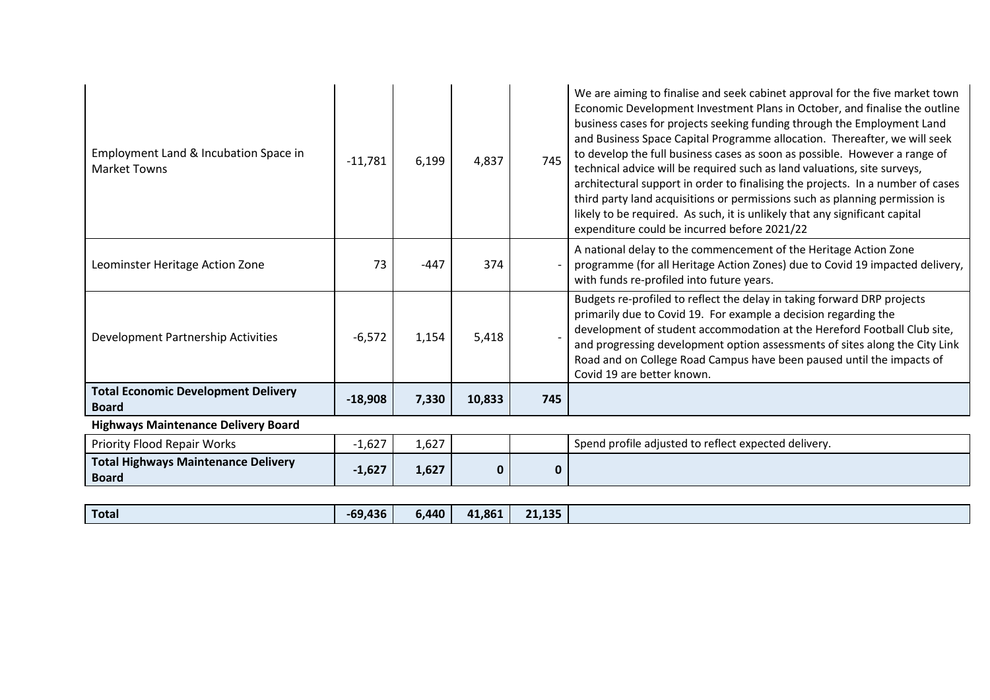| Employment Land & Incubation Space in<br><b>Market Towns</b> | $-11,781$ | 6,199  | 4,837  | 745 | We are aiming to finalise and seek cabinet approval for the five market town<br>Economic Development Investment Plans in October, and finalise the outline<br>business cases for projects seeking funding through the Employment Land<br>and Business Space Capital Programme allocation. Thereafter, we will seek<br>to develop the full business cases as soon as possible. However a range of<br>technical advice will be required such as land valuations, site surveys,<br>architectural support in order to finalising the projects. In a number of cases<br>third party land acquisitions or permissions such as planning permission is<br>likely to be required. As such, it is unlikely that any significant capital<br>expenditure could be incurred before 2021/22 |
|--------------------------------------------------------------|-----------|--------|--------|-----|-------------------------------------------------------------------------------------------------------------------------------------------------------------------------------------------------------------------------------------------------------------------------------------------------------------------------------------------------------------------------------------------------------------------------------------------------------------------------------------------------------------------------------------------------------------------------------------------------------------------------------------------------------------------------------------------------------------------------------------------------------------------------------|
| Leominster Heritage Action Zone                              | 73        | $-447$ | 374    |     | A national delay to the commencement of the Heritage Action Zone<br>programme (for all Heritage Action Zones) due to Covid 19 impacted delivery,<br>with funds re-profiled into future years.                                                                                                                                                                                                                                                                                                                                                                                                                                                                                                                                                                                 |
| Development Partnership Activities                           | $-6,572$  | 1,154  | 5,418  |     | Budgets re-profiled to reflect the delay in taking forward DRP projects<br>primarily due to Covid 19. For example a decision regarding the<br>development of student accommodation at the Hereford Football Club site,<br>and progressing development option assessments of sites along the City Link<br>Road and on College Road Campus have been paused until the impacts of<br>Covid 19 are better known.                                                                                                                                                                                                                                                                                                                                                                  |
| <b>Total Economic Development Delivery</b><br><b>Board</b>   | $-18,908$ | 7,330  | 10,833 | 745 |                                                                                                                                                                                                                                                                                                                                                                                                                                                                                                                                                                                                                                                                                                                                                                               |
| <b>Highways Maintenance Delivery Board</b>                   |           |        |        |     |                                                                                                                                                                                                                                                                                                                                                                                                                                                                                                                                                                                                                                                                                                                                                                               |
| <b>Priority Flood Repair Works</b>                           | $-1,627$  | 1,627  |        |     | Spend profile adjusted to reflect expected delivery.                                                                                                                                                                                                                                                                                                                                                                                                                                                                                                                                                                                                                                                                                                                          |
| <b>Total Highways Maintenance Delivery</b><br><b>Board</b>   | $-1,627$  | 1,627  | O      | 0   |                                                                                                                                                                                                                                                                                                                                                                                                                                                                                                                                                                                                                                                                                                                                                                               |

| <b>Total</b> |
|--------------|
|--------------|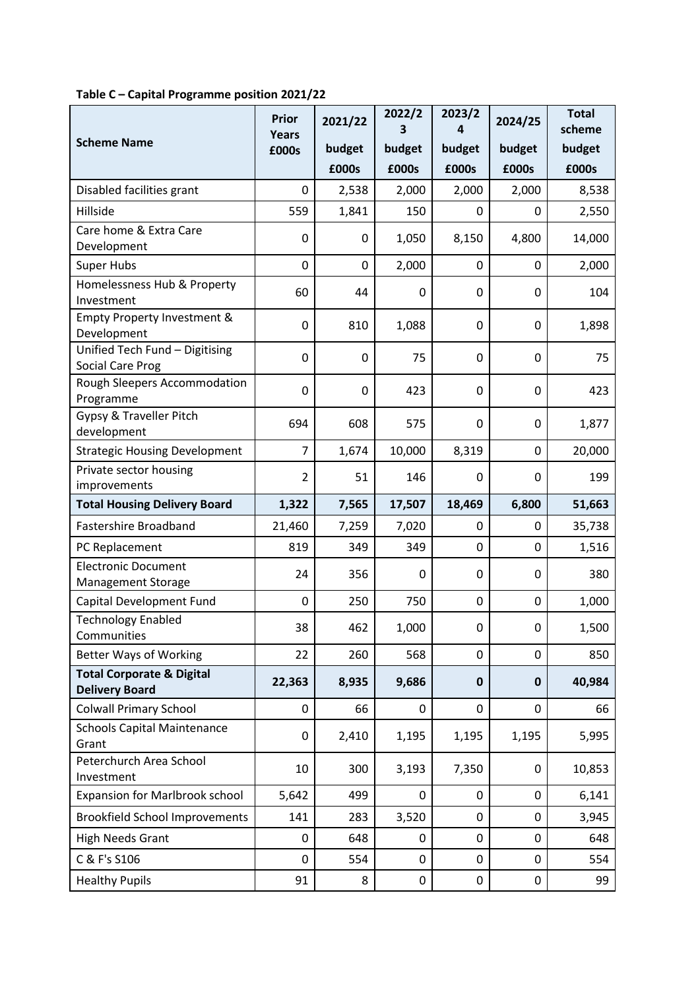|                                                               | <b>Prior</b>          | 2021/22     | 2022/2<br>3      | 2023/2<br>4      | 2024/25     | <b>Total</b><br>scheme |
|---------------------------------------------------------------|-----------------------|-------------|------------------|------------------|-------------|------------------------|
| <b>Scheme Name</b>                                            | <b>Years</b><br>£000s | budget      | budget           | budget           | budget      | budget                 |
|                                                               |                       | £000s       | £000s            | £000s            | £000s       | £000s                  |
| Disabled facilities grant                                     | 0                     | 2,538       | 2,000            | 2,000            | 2,000       | 8,538                  |
| Hillside                                                      | 559                   | 1,841       | 150              | 0                | 0           | 2,550                  |
| Care home & Extra Care<br>Development                         | $\mathbf 0$           | 0           | 1,050            | 8,150            | 4,800       | 14,000                 |
| <b>Super Hubs</b>                                             | $\mathbf 0$           | 0           | 2,000            | $\mathbf 0$      | 0           | 2,000                  |
| Homelessness Hub & Property<br>Investment                     | 60                    | 44          | 0                | $\boldsymbol{0}$ | 0           | 104                    |
| Empty Property Investment &<br>Development                    | $\mathbf 0$           | 810         | 1,088            | $\pmb{0}$        | 0           | 1,898                  |
| Unified Tech Fund - Digitising<br>Social Care Prog            | $\mathbf 0$           | $\mathbf 0$ | 75               | $\pmb{0}$        | 0           | 75                     |
| Rough Sleepers Accommodation<br>Programme                     | 0                     | 0           | 423              | 0                | 0           | 423                    |
| Gypsy & Traveller Pitch<br>development                        | 694                   | 608         | 575              | $\mathbf 0$      | 0           | 1,877                  |
| <b>Strategic Housing Development</b>                          | $\overline{7}$        | 1,674       | 10,000           | 8,319            | 0           | 20,000                 |
| Private sector housing<br>improvements                        | $\overline{2}$        | 51          | 146              | $\mathbf 0$      | 0           | 199                    |
| <b>Total Housing Delivery Board</b>                           | 1,322                 | 7,565       | 17,507           | 18,469           | 6,800       | 51,663                 |
| <b>Fastershire Broadband</b>                                  | 21,460                | 7,259       | 7,020            | $\pmb{0}$        | 0           | 35,738                 |
| PC Replacement                                                | 819                   | 349         | 349              | $\mathbf 0$      | 0           | 1,516                  |
| <b>Electronic Document</b><br><b>Management Storage</b>       | 24                    | 356         | $\Omega$         | 0                | 0           | 380                    |
| Capital Development Fund                                      | 0                     | 250         | 750              | $\mathbf 0$      | 0           | 1,000                  |
| <b>Technology Enabled</b><br>Communities                      | 38                    | 462         | 1.000            | $\Omega$         | $\Omega$    | 1,500                  |
| <b>Better Ways of Working</b>                                 | 22                    | 260         | 568              | $\mathbf 0$      | 0           | 850                    |
| <b>Total Corporate &amp; Digital</b><br><b>Delivery Board</b> | 22,363                | 8,935       | 9,686            | $\mathbf 0$      | $\mathbf 0$ | 40,984                 |
| <b>Colwall Primary School</b>                                 | 0                     | 66          | 0                | $\pmb{0}$        | 0           | 66                     |
| <b>Schools Capital Maintenance</b><br>Grant                   | 0                     | 2,410       | 1,195            | 1,195            | 1,195       | 5,995                  |
| Peterchurch Area School<br>Investment                         | 10                    | 300         | 3,193            | 7,350            | $\pmb{0}$   | 10,853                 |
| <b>Expansion for Marlbrook school</b>                         | 5,642                 | 499         | 0                | 0                | 0           | 6,141                  |
| <b>Brookfield School Improvements</b>                         | 141                   | 283         | 3,520            | $\pmb{0}$        | 0           | 3,945                  |
| <b>High Needs Grant</b>                                       | 0                     | 648         | 0                | $\pmb{0}$        | 0           | 648                    |
| C & F's S106                                                  | $\mathbf 0$           | 554         | 0                | $\pmb{0}$        | 0           | 554                    |
| <b>Healthy Pupils</b>                                         | 91                    | 8           | $\boldsymbol{0}$ | $\pmb{0}$        | 0           | 99                     |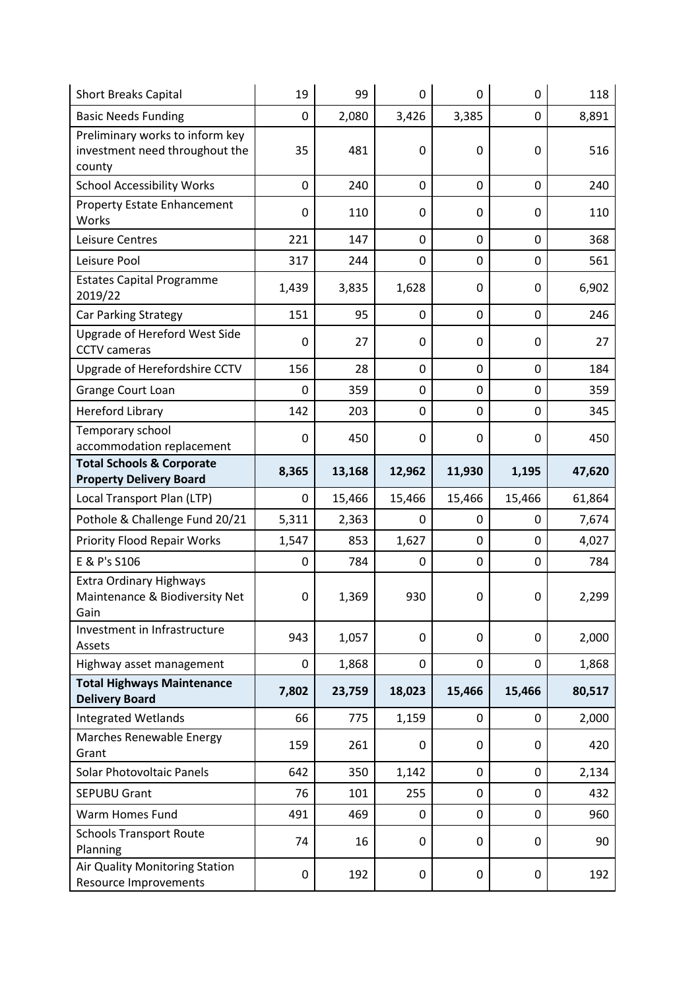| <b>Short Breaks Capital</b>                                                 | 19          | 99     | $\mathbf 0$      | $\overline{0}$ | $\mathbf 0$ | 118    |
|-----------------------------------------------------------------------------|-------------|--------|------------------|----------------|-------------|--------|
| <b>Basic Needs Funding</b>                                                  | 0           | 2,080  | 3,426            | 3,385          | 0           | 8,891  |
| Preliminary works to inform key<br>investment need throughout the<br>county | 35          | 481    | $\mathbf 0$      | 0              | 0           | 516    |
| <b>School Accessibility Works</b>                                           | 0           | 240    | $\boldsymbol{0}$ | $\mathbf 0$    | 0           | 240    |
| <b>Property Estate Enhancement</b><br>Works                                 | $\mathbf 0$ | 110    | $\mathbf 0$      | 0              | 0           | 110    |
| Leisure Centres                                                             | 221         | 147    | $\mathbf 0$      | $\mathbf 0$    | $\mathbf 0$ | 368    |
| Leisure Pool                                                                | 317         | 244    | $\mathbf 0$      | $\mathbf 0$    | 0           | 561    |
| <b>Estates Capital Programme</b><br>2019/22                                 | 1,439       | 3,835  | 1,628            | 0              | 0           | 6,902  |
| <b>Car Parking Strategy</b>                                                 | 151         | 95     | $\mathbf 0$      | $\mathbf 0$    | 0           | 246    |
| Upgrade of Hereford West Side<br><b>CCTV</b> cameras                        | $\mathbf 0$ | 27     | $\mathbf 0$      | 0              | $\mathbf 0$ | 27     |
| Upgrade of Herefordshire CCTV                                               | 156         | 28     | $\boldsymbol{0}$ | $\mathbf 0$    | 0           | 184    |
| Grange Court Loan                                                           | 0           | 359    | $\boldsymbol{0}$ | $\mathbf 0$    | 0           | 359    |
| <b>Hereford Library</b>                                                     | 142         | 203    | 0                | $\mathbf 0$    | 0           | 345    |
| Temporary school<br>accommodation replacement                               | $\mathbf 0$ | 450    | $\mathbf 0$      | 0              | 0           | 450    |
| <b>Total Schools &amp; Corporate</b><br><b>Property Delivery Board</b>      | 8,365       | 13,168 | 12,962           | 11,930         | 1,195       | 47,620 |
|                                                                             |             |        |                  |                |             |        |
| Local Transport Plan (LTP)                                                  | 0           | 15,466 | 15,466           | 15,466         | 15,466      | 61,864 |
| Pothole & Challenge Fund 20/21                                              | 5,311       | 2,363  | 0                | 0              | 0           | 7,674  |
| <b>Priority Flood Repair Works</b>                                          | 1,547       | 853    | 1,627            | $\mathbf 0$    | 0           | 4,027  |
| E & P's S106                                                                | 0           | 784    | 0                | $\mathbf 0$    | 0           | 784    |
| <b>Extra Ordinary Highways</b><br>Maintenance & Biodiversity Net<br>Gain    | 0           | 1,369  | 930              | $\mathbf 0$    | 0           | 2,299  |
| Investment in Infrastructure<br>Assets                                      | 943         | 1,057  | 0                | 0              | 0           | 2,000  |
| Highway asset management                                                    | 0           | 1,868  | $\mathbf 0$      | $\mathbf 0$    | 0           | 1,868  |
| <b>Total Highways Maintenance</b><br><b>Delivery Board</b>                  | 7,802       | 23,759 | 18,023           | 15,466         | 15,466      | 80,517 |
| <b>Integrated Wetlands</b>                                                  | 66          | 775    | 1,159            | $\pmb{0}$      | 0           | 2,000  |
| Marches Renewable Energy<br>Grant                                           | 159         | 261    | 0                | 0              | 0           | 420    |
| <b>Solar Photovoltaic Panels</b>                                            | 642         | 350    | 1,142            | $\mathbf 0$    | 0           | 2,134  |
| <b>SEPUBU Grant</b>                                                         | 76          | 101    | 255              | $\mathbf 0$    | 0           | 432    |
| Warm Homes Fund                                                             | 491         | 469    | 0                | 0              | 0           | 960    |
| <b>Schools Transport Route</b><br>Planning                                  | 74          | 16     | $\boldsymbol{0}$ | 0              | 0           | 90     |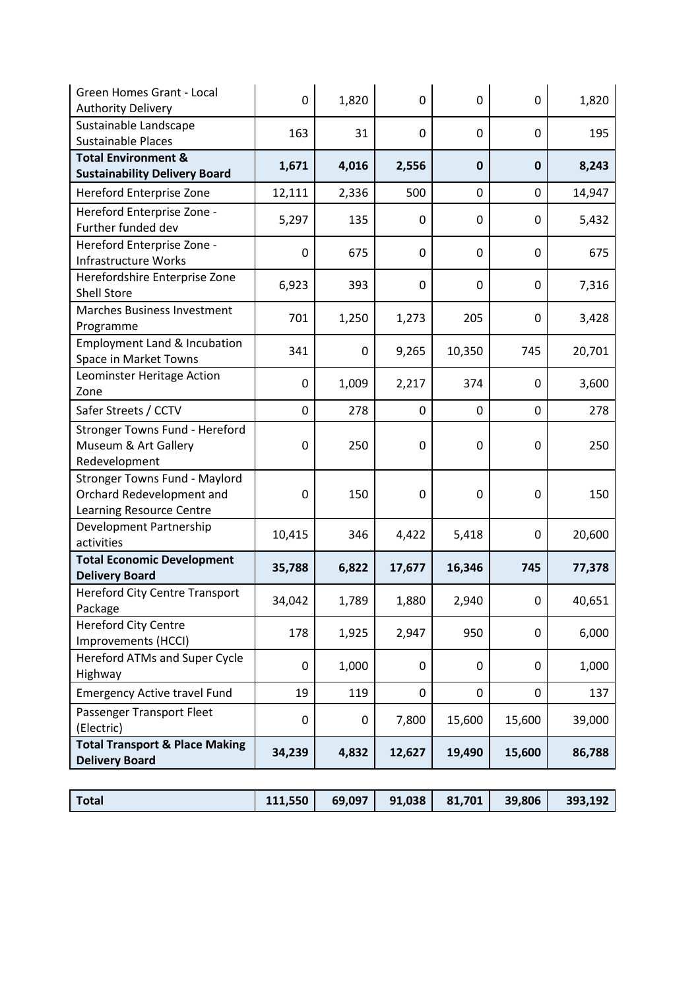| <b>Green Homes Grant - Local</b><br><b>Authority Delivery</b>                                 | $\mathbf 0$ | 1,820       | 0           | $\mathbf 0$      | 0           | 1,820  |
|-----------------------------------------------------------------------------------------------|-------------|-------------|-------------|------------------|-------------|--------|
| Sustainable Landscape<br><b>Sustainable Places</b>                                            | 163         | 31          | $\mathbf 0$ | $\mathbf 0$      | 0           | 195    |
| <b>Total Environment &amp;</b><br><b>Sustainability Delivery Board</b>                        | 1,671       | 4,016       | 2,556       | $\mathbf 0$      | $\mathbf 0$ | 8,243  |
| Hereford Enterprise Zone                                                                      | 12,111      | 2,336       | 500         | $\mathbf 0$      | 0           | 14,947 |
| Hereford Enterprise Zone -<br>Further funded dev                                              | 5,297       | 135         | 0           | $\boldsymbol{0}$ | 0           | 5,432  |
| Hereford Enterprise Zone -<br><b>Infrastructure Works</b>                                     | $\mathbf 0$ | 675         | $\mathbf 0$ | $\mathbf 0$      | 0           | 675    |
| Herefordshire Enterprise Zone<br><b>Shell Store</b>                                           | 6,923       | 393         | $\mathbf 0$ | $\mathbf 0$      | 0           | 7,316  |
| Marches Business Investment<br>Programme                                                      | 701         | 1,250       | 1,273       | 205              | $\mathbf 0$ | 3,428  |
| <b>Employment Land &amp; Incubation</b><br>Space in Market Towns                              | 341         | $\mathbf 0$ | 9,265       | 10,350           | 745         | 20,701 |
| Leominster Heritage Action<br>Zone                                                            | $\mathbf 0$ | 1,009       | 2,217       | 374              | 0           | 3,600  |
| Safer Streets / CCTV                                                                          | $\mathbf 0$ | 278         | 0           | $\mathbf 0$      | 0           | 278    |
| Stronger Towns Fund - Hereford<br>Museum & Art Gallery<br>Redevelopment                       | $\mathbf 0$ | 250         | $\mathbf 0$ | $\mathbf 0$      | $\mathbf 0$ | 250    |
| <b>Stronger Towns Fund - Maylord</b><br>Orchard Redevelopment and<br>Learning Resource Centre | $\mathbf 0$ | 150         | $\mathbf 0$ | $\mathbf 0$      | $\mathbf 0$ | 150    |
| Development Partnership<br>activities                                                         | 10,415      | 346         | 4,422       | 5,418            | 0           | 20,600 |
| <b>Total Economic Development</b><br><b>Delivery Board</b>                                    | 35,788      | 6,822       | 17,677      | 16,346           | 745         | 77,378 |
| <b>Hereford City Centre Transport</b><br>Package                                              | 34,042      | 1,789       | 1,880       | 2,940            | $\mathbf 0$ | 40,651 |
| <b>Hereford City Centre</b><br>Improvements (HCCI)                                            | 178         | 1,925       | 2,947       | 950              | 0           | 6,000  |
| Hereford ATMs and Super Cycle<br>Highway                                                      | $\mathbf 0$ | 1,000       | 0           | 0                | 0           | 1,000  |
| <b>Emergency Active travel Fund</b>                                                           | 19          | 119         | 0           | $\pmb{0}$        | 0           | 137    |
| Passenger Transport Fleet<br>(Electric)                                                       | 0           | $\mathbf 0$ | 7,800       | 15,600           | 15,600      | 39,000 |
| <b>Total Transport &amp; Place Making</b><br><b>Delivery Board</b>                            | 34,239      | 4,832       | 12,627      | 19,490           | 15,600      | 86,788 |

| Total | 111,550 |  |  |  | 39,806 | 393,192 |
|-------|---------|--|--|--|--------|---------|
|-------|---------|--|--|--|--------|---------|